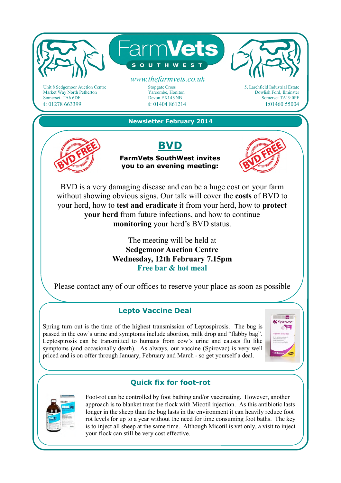

Leptospirosis can be transmitted to humans from cow's urine and causes flu like symptoms (and occasionally death). As always, our vaccine (Spirovac) is very well priced and is on offer through January, February and March - so get yourself a deal.



## **Quick fix for foot-rot**



Foot-rot can be controlled by foot bathing and/or vaccinating. However, another approach is to blanket treat the flock with Micotil injection. As this antibiotic lasts longer in the sheep than the bug lasts in the environment it can heavily reduce foot rot levels for up to a year without the need for time consuming foot baths. The key is to inject all sheep at the same time. Although Micotil is vet only, a visit to inject your flock can still be very cost effective.